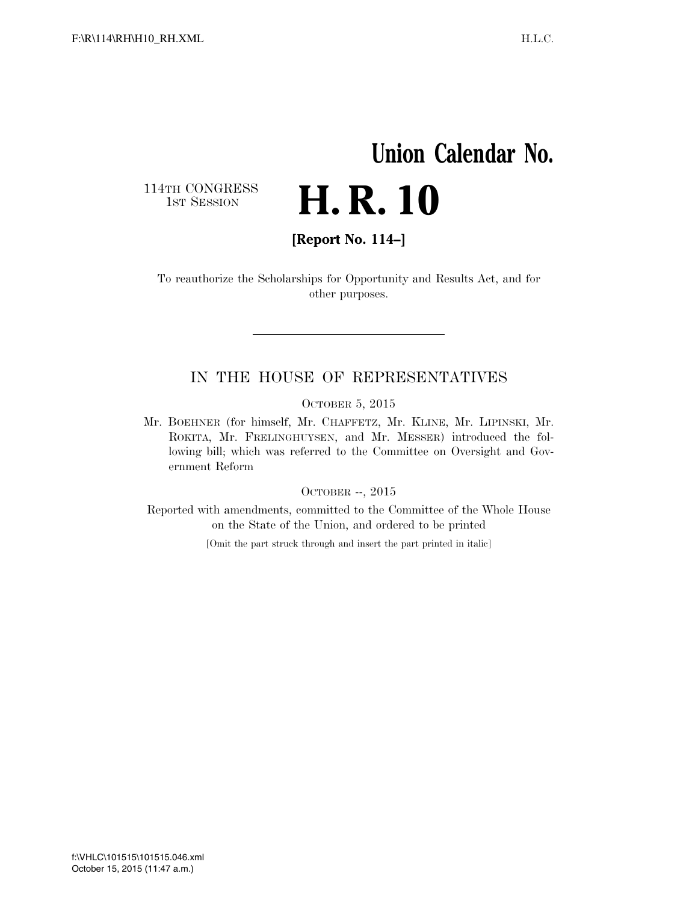# **Union Calendar No.**  H. R. 10

114TH CONGRESS<br>1st Session

**[Report No. 114–]** 

To reauthorize the Scholarships for Opportunity and Results Act, and for other purposes.

#### IN THE HOUSE OF REPRESENTATIVES

OCTOBER 5, 2015

Mr. BOEHNER (for himself, Mr. CHAFFETZ, Mr. KLINE, Mr. LIPINSKI, Mr. ROKITA, Mr. FRELINGHUYSEN, and Mr. MESSER) introduced the following bill; which was referred to the Committee on Oversight and Government Reform

#### OCTOBER --, 2015

Reported with amendments, committed to the Committee of the Whole House on the State of the Union, and ordered to be printed

[Omit the part struck through and insert the part printed in italic]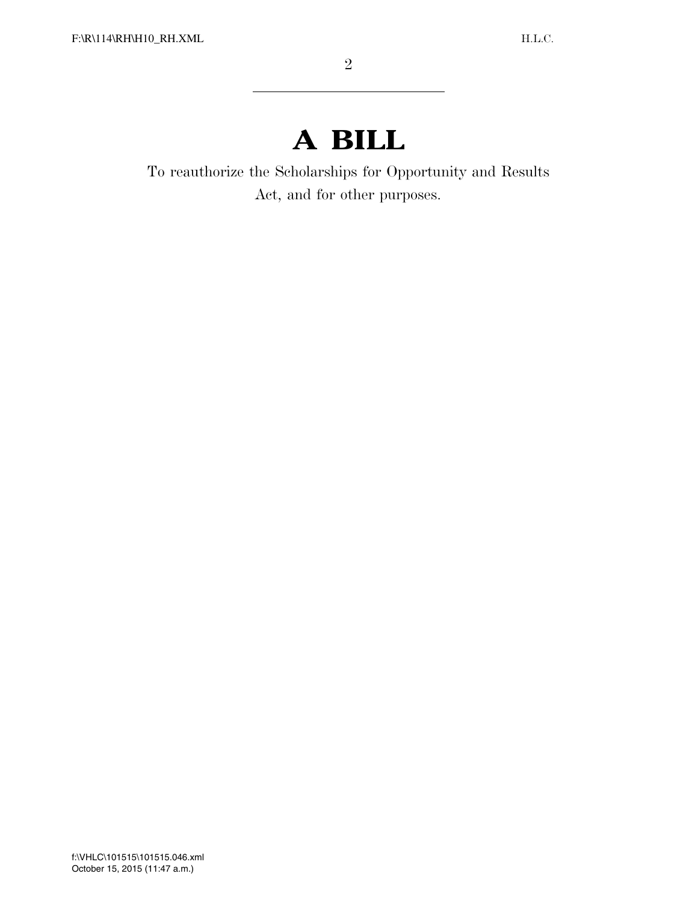## **A BILL**

To reauthorize the Scholarships for Opportunity and Results Act, and for other purposes.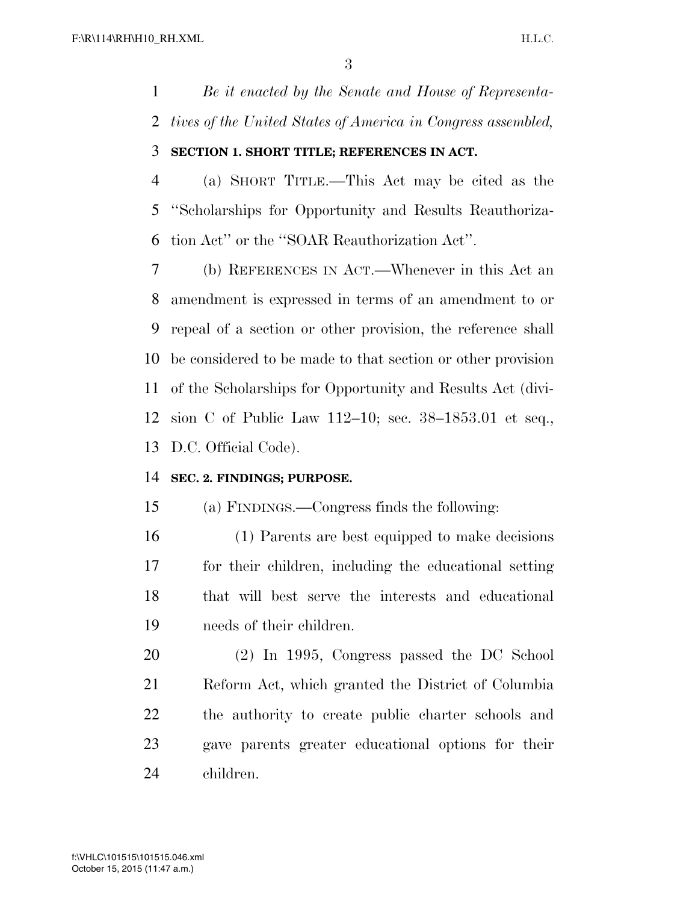*Be it enacted by the Senate and House of Representa-tives of the United States of America in Congress assembled,* 

#### **SECTION 1. SHORT TITLE; REFERENCES IN ACT.**

 (a) SHORT TITLE.—This Act may be cited as the ''Scholarships for Opportunity and Results Reauthoriza-tion Act'' or the ''SOAR Reauthorization Act''.

 (b) REFERENCES IN ACT.—Whenever in this Act an amendment is expressed in terms of an amendment to or repeal of a section or other provision, the reference shall be considered to be made to that section or other provision of the Scholarships for Opportunity and Results Act (divi- sion C of Public Law 112–10; sec. 38–1853.01 et seq., D.C. Official Code).

#### **SEC. 2. FINDINGS; PURPOSE.**

(a) FINDINGS.—Congress finds the following:

 (1) Parents are best equipped to make decisions for their children, including the educational setting that will best serve the interests and educational needs of their children.

 (2) In 1995, Congress passed the DC School Reform Act, which granted the District of Columbia the authority to create public charter schools and gave parents greater educational options for their children.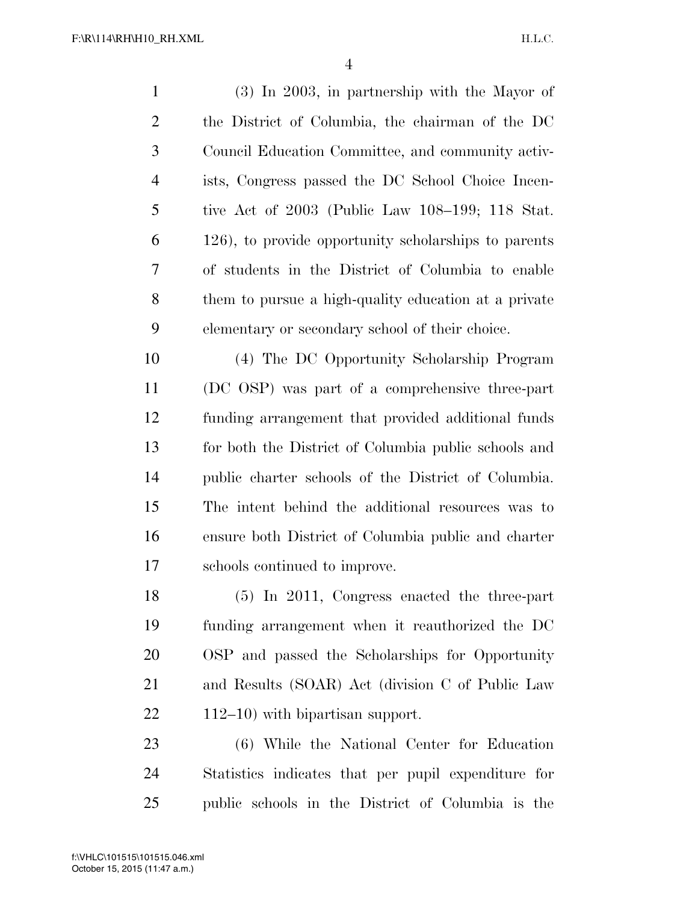(3) In 2003, in partnership with the Mayor of the District of Columbia, the chairman of the DC Council Education Committee, and community activ- ists, Congress passed the DC School Choice Incen- tive Act of 2003 (Public Law 108–199; 118 Stat. 126), to provide opportunity scholarships to parents of students in the District of Columbia to enable them to pursue a high-quality education at a private elementary or secondary school of their choice.

 (4) The DC Opportunity Scholarship Program (DC OSP) was part of a comprehensive three-part funding arrangement that provided additional funds for both the District of Columbia public schools and public charter schools of the District of Columbia. The intent behind the additional resources was to ensure both District of Columbia public and charter schools continued to improve.

 (5) In 2011, Congress enacted the three-part funding arrangement when it reauthorized the DC OSP and passed the Scholarships for Opportunity and Results (SOAR) Act (division C of Public Law 112–10) with bipartisan support.

 (6) While the National Center for Education Statistics indicates that per pupil expenditure for public schools in the District of Columbia is the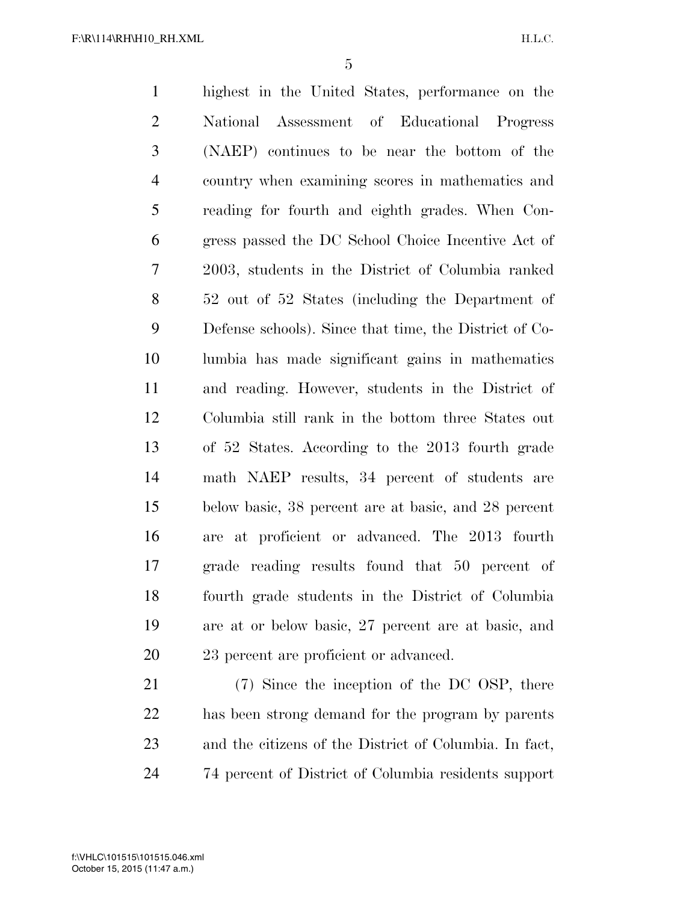highest in the United States, performance on the National Assessment of Educational Progress (NAEP) continues to be near the bottom of the country when examining scores in mathematics and reading for fourth and eighth grades. When Con- gress passed the DC School Choice Incentive Act of 2003, students in the District of Columbia ranked 52 out of 52 States (including the Department of Defense schools). Since that time, the District of Co- lumbia has made significant gains in mathematics and reading. However, students in the District of Columbia still rank in the bottom three States out of 52 States. According to the 2013 fourth grade math NAEP results, 34 percent of students are below basic, 38 percent are at basic, and 28 percent are at proficient or advanced. The 2013 fourth grade reading results found that 50 percent of fourth grade students in the District of Columbia are at or below basic, 27 percent are at basic, and 23 percent are proficient or advanced. (7) Since the inception of the DC OSP, there has been strong demand for the program by parents

74 percent of District of Columbia residents support

and the citizens of the District of Columbia. In fact,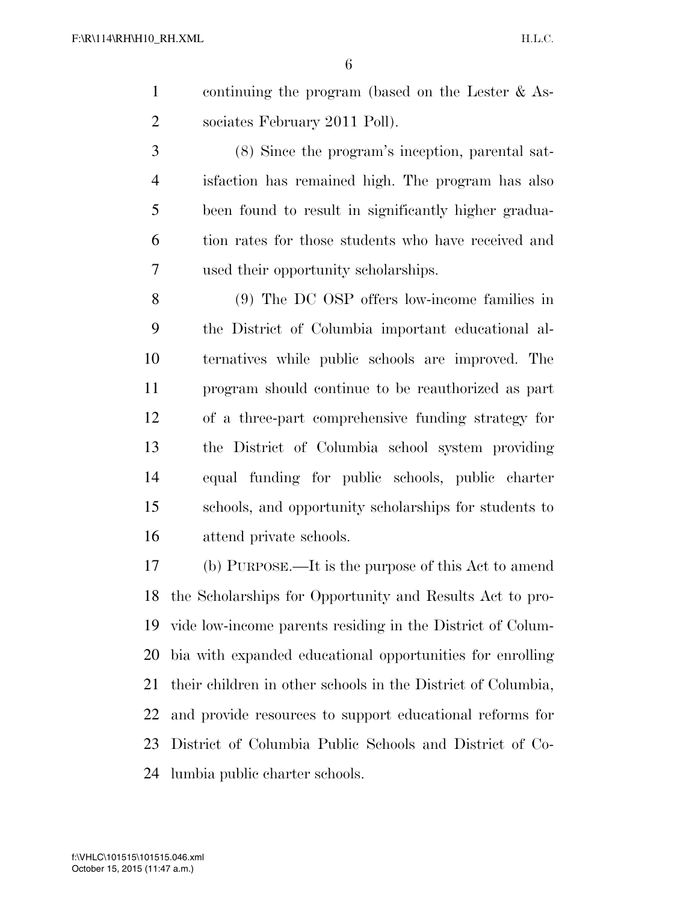- continuing the program (based on the Lester & As-sociates February 2011 Poll).
- (8) Since the program's inception, parental sat- isfaction has remained high. The program has also been found to result in significantly higher gradua- tion rates for those students who have received and used their opportunity scholarships.
- (9) The DC OSP offers low-income families in the District of Columbia important educational al- ternatives while public schools are improved. The program should continue to be reauthorized as part of a three-part comprehensive funding strategy for the District of Columbia school system providing equal funding for public schools, public charter schools, and opportunity scholarships for students to attend private schools.
- (b) PURPOSE.—It is the purpose of this Act to amend the Scholarships for Opportunity and Results Act to pro- vide low-income parents residing in the District of Colum- bia with expanded educational opportunities for enrolling their children in other schools in the District of Columbia, and provide resources to support educational reforms for District of Columbia Public Schools and District of Co-lumbia public charter schools.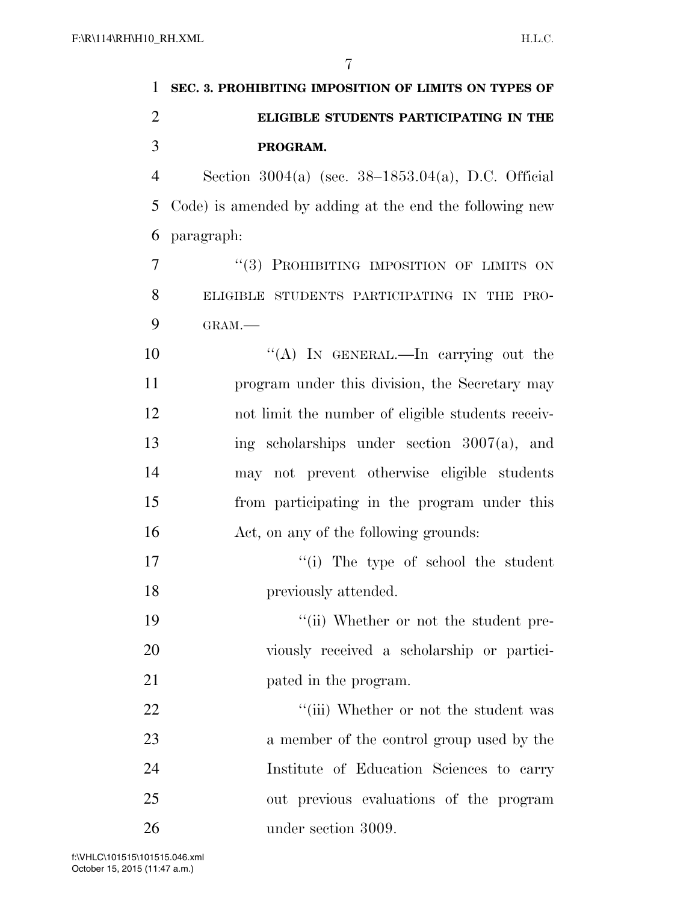|                | 7                                                       |
|----------------|---------------------------------------------------------|
| 1              | SEC. 3. PROHIBITING IMPOSITION OF LIMITS ON TYPES OF    |
| $\overline{2}$ | ELIGIBLE STUDENTS PARTICIPATING IN THE                  |
| 3              | PROGRAM.                                                |
| $\overline{4}$ | Section $3004(a)$ (sec. $38-1853.04(a)$ , D.C. Official |
| 5              | Code) is amended by adding at the end the following new |
| 6              | paragraph:                                              |
| 7              | "(3) PROHIBITING IMPOSITION OF LIMITS ON                |
| 8              | ELIGIBLE STUDENTS PARTICIPATING IN THE PRO-             |
| 9              | GRAM.-                                                  |
| 10             | "(A) IN GENERAL.—In carrying out the                    |
| 11             | program under this division, the Secretary may          |
| 12             | not limit the number of eligible students receiv-       |
| 13             | ing scholarships under section $3007(a)$ , and          |
| 14             | may not prevent otherwise eligible students             |
| 15             | from participating in the program under this            |
| 16             | Act, on any of the following grounds:                   |
| 17             | "(i) The type of school the student                     |
| 18             | previously attended.                                    |
| 19             | "(ii) Whether or not the student pre-                   |
| 20             | viously received a scholarship or partici-              |
| 21             | pated in the program.                                   |
| 22             | "(iii) Whether or not the student was                   |
| 23             | a member of the control group used by the               |
| 24             | Institute of Education Sciences to carry                |
| 25             | out previous evaluations of the program                 |
| 26             | under section 3009.                                     |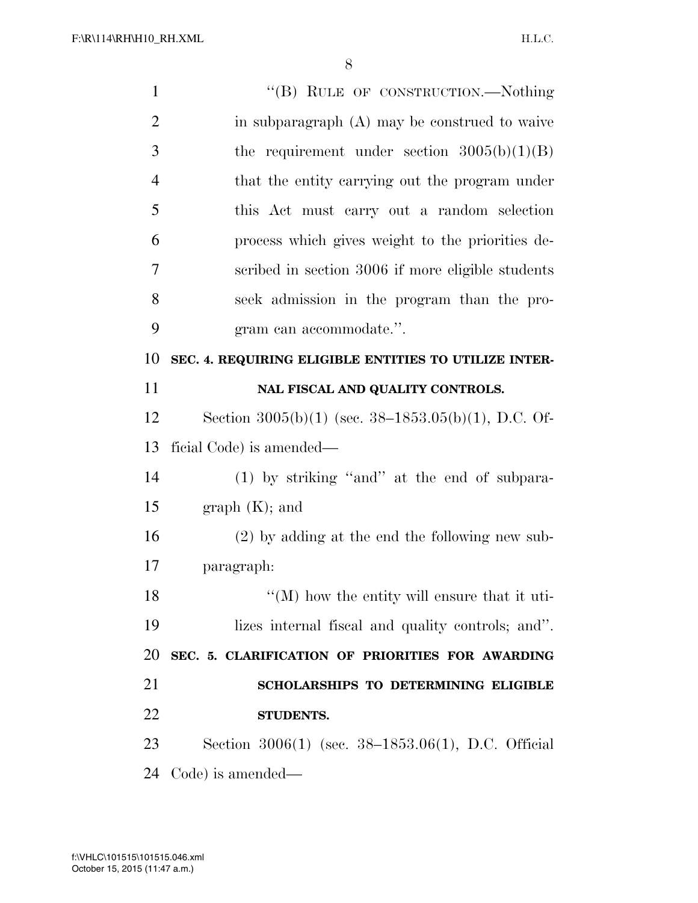| $\mathbf{1}$   | "(B) RULE OF CONSTRUCTION.—Nothing                       |
|----------------|----------------------------------------------------------|
| $\overline{2}$ | in subparagraph $(A)$ may be construed to waive          |
| 3              | the requirement under section $3005(b)(1)(B)$            |
| $\overline{4}$ | that the entity carrying out the program under           |
| 5              | this Act must carry out a random selection               |
| 6              | process which gives weight to the priorities de-         |
| 7              | scribed in section 3006 if more eligible students        |
| 8              | seek admission in the program than the pro-              |
| 9              | gram can accommodate.".                                  |
| 10             | SEC. 4. REQUIRING ELIGIBLE ENTITIES TO UTILIZE INTER-    |
| 11             | NAL FISCAL AND QUALITY CONTROLS.                         |
| 12             | Section $3005(b)(1)$ (sec. $38-1853.05(b)(1)$ , D.C. Of- |
| 13             | ficial Code) is amended—                                 |
| 14             | $(1)$ by striking "and" at the end of subpara-           |
| 15             | graph (K); and                                           |
| 16             | $(2)$ by adding at the end the following new sub-        |
| 17             | paragraph:                                               |
| 18             | $\lq\lq (M)$ how the entity will ensure that it uti-     |
| 19             | lizes internal fiscal and quality controls; and".        |
| 20             | SEC. 5. CLARIFICATION OF PRIORITIES FOR AWARDING         |
| 21             | <b>SCHOLARSHIPS TO DETERMINING ELIGIBLE</b>              |
| 22             |                                                          |
|                | <b>STUDENTS.</b>                                         |
| 23             | Section 3006(1) (sec. 38–1853.06(1), D.C. Official       |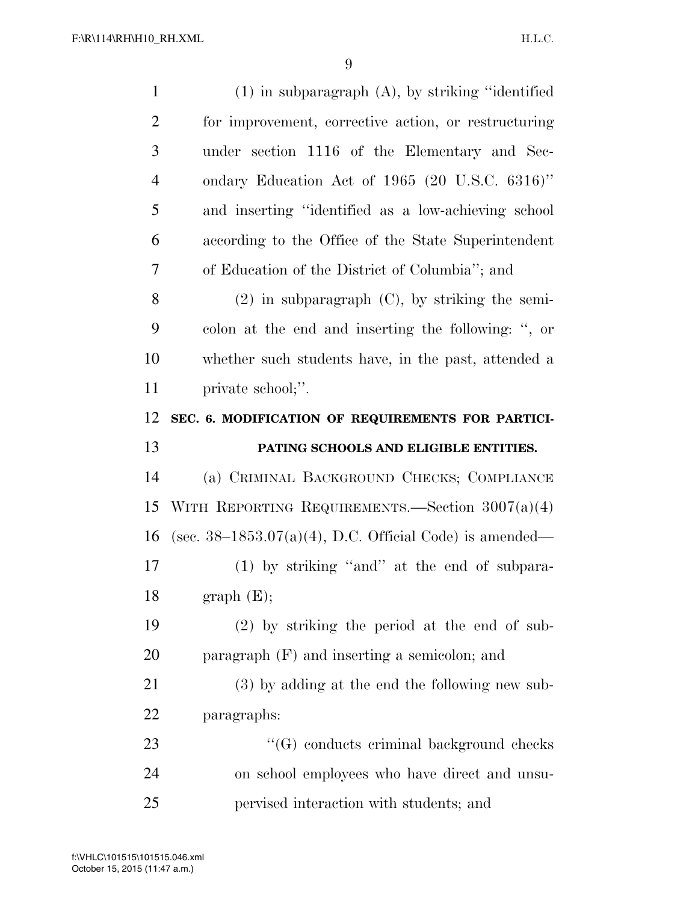| $\mathbf{1}$   | $(1)$ in subparagraph $(A)$ , by striking "identified"     |
|----------------|------------------------------------------------------------|
| $\overline{2}$ | for improvement, corrective action, or restructuring       |
| 3              | under section 1116 of the Elementary and Sec-              |
| $\overline{4}$ | ondary Education Act of 1965 (20 U.S.C. 6316)"             |
| 5              | and inserting "identified as a low-achieving school        |
| 6              | according to the Office of the State Superintendent        |
| 7              | of Education of the District of Columbia"; and             |
| 8              | $(2)$ in subparagraph $(C)$ , by striking the semi-        |
| 9              | colon at the end and inserting the following: ", or        |
| 10             | whether such students have, in the past, attended a        |
| 11             | private school;".                                          |
| 12             | SEC. 6. MODIFICATION OF REQUIREMENTS FOR PARTICI-          |
|                |                                                            |
| 13             | PATING SCHOOLS AND ELIGIBLE ENTITIES.                      |
| 14             | (a) CRIMINAL BACKGROUND CHECKS; COMPLIANCE                 |
| 15             | WITH REPORTING REQUIREMENTS. Section $3007(a)(4)$          |
| 16             | (sec. $38-1853.07(a)(4)$ , D.C. Official Code) is amended— |
| 17             | (1) by striking "and" at the end of subpara-               |
| 18             | graph(E);                                                  |
| 19             | $(2)$ by striking the period at the end of sub-            |
| 20             | paragraph $(F)$ and inserting a semicolon; and             |
| 21             | (3) by adding at the end the following new sub-            |
| 22             | paragraphs:                                                |
| 23             | "(G) conducts criminal background checks                   |
| 24             | on school employees who have direct and unsu-              |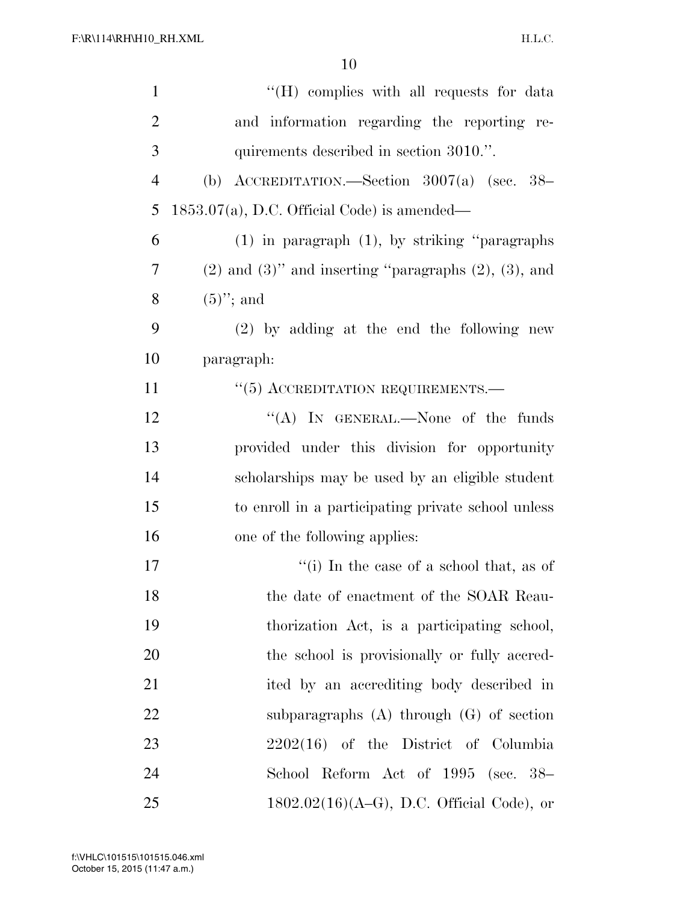| $\mathbf{1}$   | "(H) complies with all requests for data                        |
|----------------|-----------------------------------------------------------------|
| $\overline{2}$ | and information regarding the reporting re-                     |
| 3              | quirements described in section 3010.".                         |
| $\overline{4}$ | (b) ACCREDITATION.—Section $3007(a)$ (sec. 38–                  |
| 5              | $1853.07(a)$ , D.C. Official Code) is amended—                  |
| 6              | $(1)$ in paragraph $(1)$ , by striking "paragraphs"             |
| 7              | $(2)$ and $(3)$ " and inserting "paragraphs $(2)$ , $(3)$ , and |
| 8              | $(5)$ "; and                                                    |
| 9              | $(2)$ by adding at the end the following new                    |
| 10             | paragraph:                                                      |
| 11             | $\cdot$ (5) ACCREDITATION REQUIREMENTS.—                        |
| 12             | "(A) IN GENERAL.—None of the funds                              |
| 13             | provided under this division for opportunity                    |
| 14             | scholarships may be used by an eligible student                 |
| 15             | to enroll in a participating private school unless              |
| 16             | one of the following applies:                                   |
| 17             | "(i) In the case of a school that, as of                        |
| 18             | the date of enactment of the SOAR Reau-                         |
| 19             | thorization Act, is a participating school,                     |
| 20             | the school is provisionally or fully accred-                    |
| 21             | ited by an accrediting body described in                        |
| 22             | subparagraphs $(A)$ through $(G)$ of section                    |
| 23             | $2202(16)$ of the District of Columbia                          |
| 24             | School Reform Act of 1995 (sec. 38–                             |
| 25             | $1802.02(16)(A-G)$ , D.C. Official Code), or                    |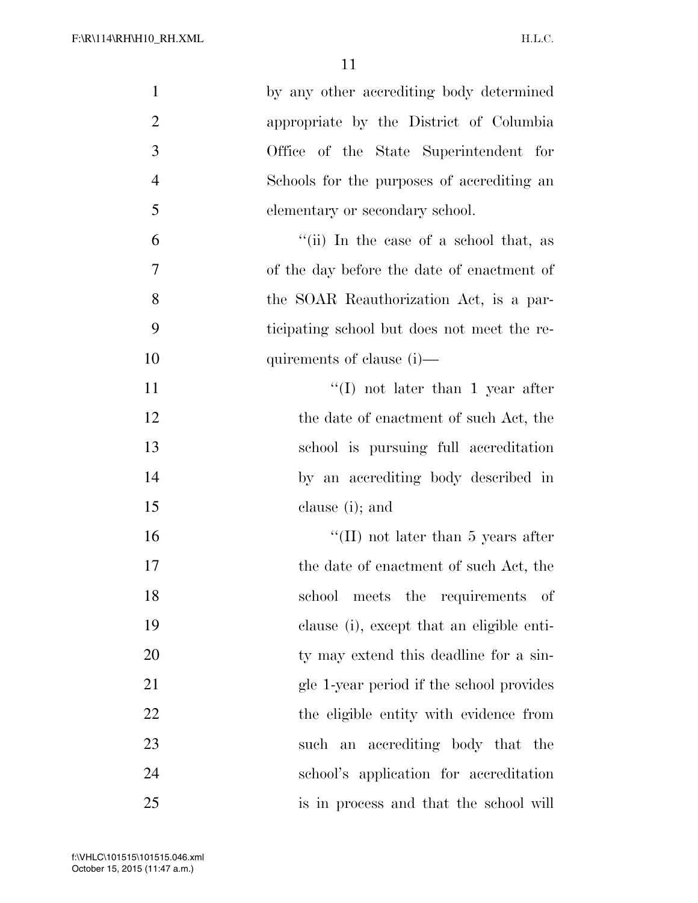| $\mathbf{1}$   | by any other accrediting body determined    |
|----------------|---------------------------------------------|
| $\overline{2}$ | appropriate by the District of Columbia     |
| 3              | Office of the State Superintendent for      |
| $\overline{4}$ | Schools for the purposes of accrediting an  |
| 5              | elementary or secondary school.             |
| 6              | "(ii) In the case of a school that, as      |
| 7              | of the day before the date of enactment of  |
| $8\,$          | the SOAR Reauthorization Act, is a par-     |
| 9              | ticipating school but does not meet the re- |
| 10             | quirements of clause (i)—                   |
| 11             | $\lq(1)$ not later than 1 year after        |
| 12             | the date of enactment of such Act, the      |
| 13             | school is pursuing full accreditation       |
| 14             | by an accrediting body described in         |
| 15             | clause (i); and                             |
| 16             | "(II) not later than $5$ years after        |
| 17             | the date of enactment of such Act, the      |
| 18             | school meets the requirements of            |
| 19             | clause (i), except that an eligible enti-   |
| 20             | ty may extend this deadline for a sin-      |
| 21             | gle 1-year period if the school provides    |
| 22             | the eligible entity with evidence from      |
| 23             | such an accrediting body that the           |
| 24             | school's application for accreditation      |
| 25             | is in process and that the school will      |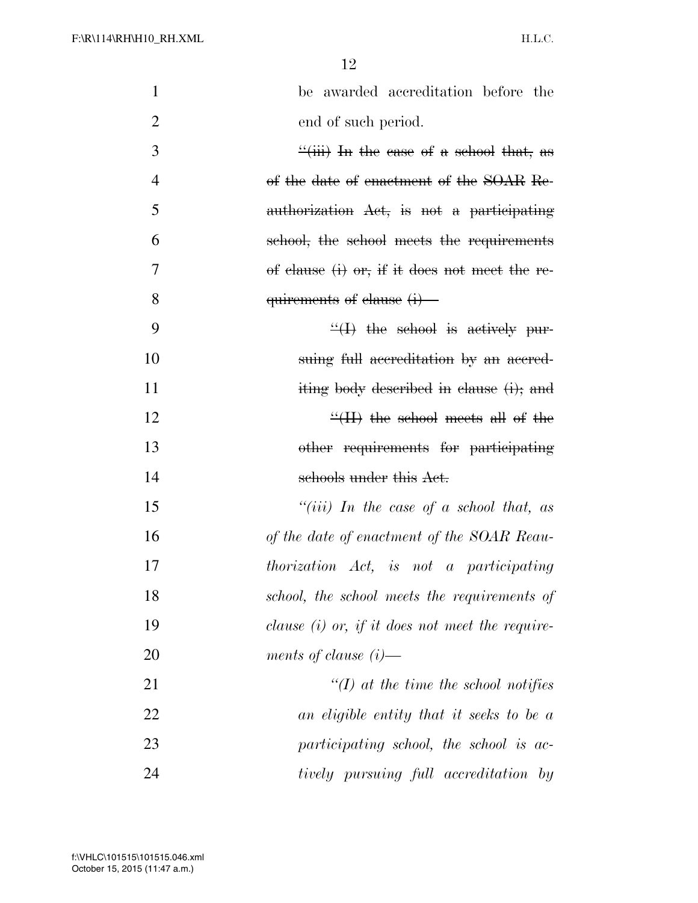| $\mathbf{1}$   | be awarded accreditation before the                  |
|----------------|------------------------------------------------------|
| $\overline{2}$ | end of such period.                                  |
| 3              | $\frac{4}{10}$ iii) In the case of a school that, as |
| $\overline{4}$ | of the date of enactment of the SOAR Re-             |
| 5              | authorization Act, is not a participating            |
| 6              | school, the school meets the requirements            |
| 7              | of clause $(i)$ or, if it does not meet the re-      |
| 8              | $quirements of clause (i)$ –                         |
| 9              | $\frac{H}{H}$ the school is actively pur-            |
| 10             | suing full accreditation by an accred-               |
| 11             | iting body described in clause (i); and              |
| 12             | $\frac{H}{H}$ the school meets all of the            |
| 13             | other requirements for participating                 |
| 14             | schools under this Act.                              |
| 15             | "(iii) In the case of a school that, as              |
| 16             | of the date of enactment of the SOAR Reau-           |
| 17             | thorization Act, is not a participating              |
| 18             | school, the school meets the requirements of         |
| 19             | clause $(i)$ or, if it does not meet the require-    |
| 20             | ments of clause $(i)$ —                              |
| 21             | $\lq (I)$ at the time the school notifies            |
| 22             | an eligible entity that it seeks to be a             |
| 23             | participating school, the school is ac-              |
| 24             | tively pursuing full accreditation by                |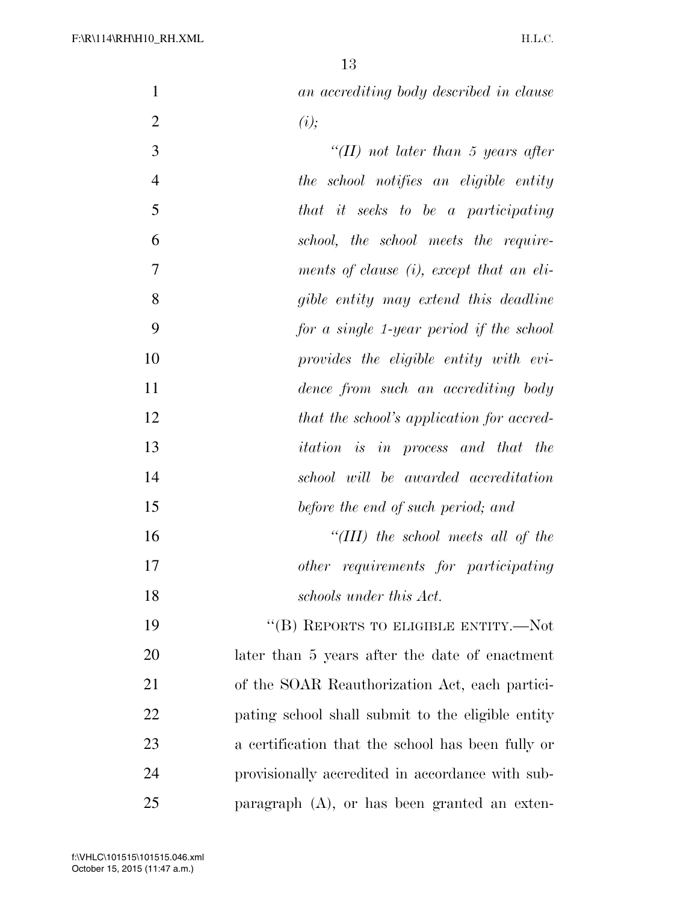| $\mathbf{1}$     | an accrediting body described in clause           |
|------------------|---------------------------------------------------|
| $\mathbf{2}$     | (i);                                              |
| 3                | "(II) not later than 5 years after                |
| $\overline{4}$   | the school notifies an eligible entity            |
| 5                | that it seeks to be a participating               |
| 6                | school, the school meets the require-             |
| $\boldsymbol{7}$ | ments of clause (i), except that an eli-          |
| 8                | gible entity may extend this deadline             |
| 9                | for a single 1-year period if the school          |
| 10               | provides the eligible entity with evi-            |
| 11               | dence from such an accrediting body               |
| 12               | that the school's application for accred-         |
| 13               | <i>itation is in</i> process and that the         |
| 14               | school will be awarded accreditation              |
| 15               | before the end of such period; and                |
| 16               | "(III) the school meets all of the                |
| 17               | other requirements for participating              |
| 18               | schools under this Act.                           |
| 19               | "(B) REPORTS TO ELIGIBLE ENTITY.— $Not$           |
| 20               | later than 5 years after the date of enactment    |
| 21               | of the SOAR Reauthorization Act, each partici-    |
| 22               | pating school shall submit to the eligible entity |
| 23               | a certification that the school has been fully or |
| 24               | provisionally accredited in accordance with sub-  |
| 25               | paragraph $(A)$ , or has been granted an exten-   |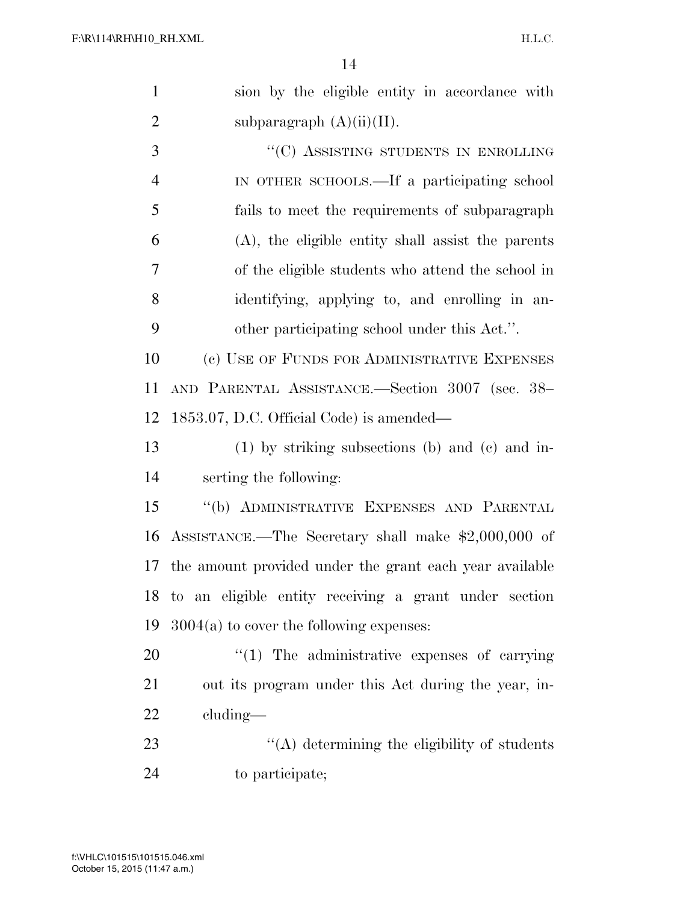| $\mathbf{1}$   | sion by the eligible entity in accordance with           |
|----------------|----------------------------------------------------------|
| $\overline{2}$ | subparagraph $(A)(ii)(II)$ .                             |
| 3              | "(C) ASSISTING STUDENTS IN ENROLLING                     |
| $\overline{4}$ | IN OTHER SCHOOLS.—If a participating school              |
| 5              | fails to meet the requirements of subparagraph           |
| 6              | $(A)$ , the eligible entity shall assist the parents     |
| 7              | of the eligible students who attend the school in        |
| 8              | identifying, applying to, and enrolling in an-           |
| 9              | other participating school under this Act.".             |
| 10             | (c) USE OF FUNDS FOR ADMINISTRATIVE EXPENSES             |
| 11             | AND PARENTAL ASSISTANCE.-Section 3007 (sec. 38-          |
| 12             | 1853.07, D.C. Official Code) is amended—                 |
| 13             | $(1)$ by striking subsections (b) and (c) and in-        |
| 14             | serting the following:                                   |
| 15             | "(b) ADMINISTRATIVE EXPENSES AND PARENTAL                |
| 16             | ASSISTANCE.—The Secretary shall make \$2,000,000 of      |
| 17             | the amount provided under the grant each year available  |
|                | 18 to an eligible entity receiving a grant under section |
| 19             | $3004(a)$ to cover the following expenses:               |
| 20             | $\lq(1)$ The administrative expenses of carrying         |
| 21             | out its program under this Act during the year, in-      |
| 22             | $cluding$ —                                              |
| 23             | $\lq\lq$ determining the eligibility of students         |
| 24             | to participate;                                          |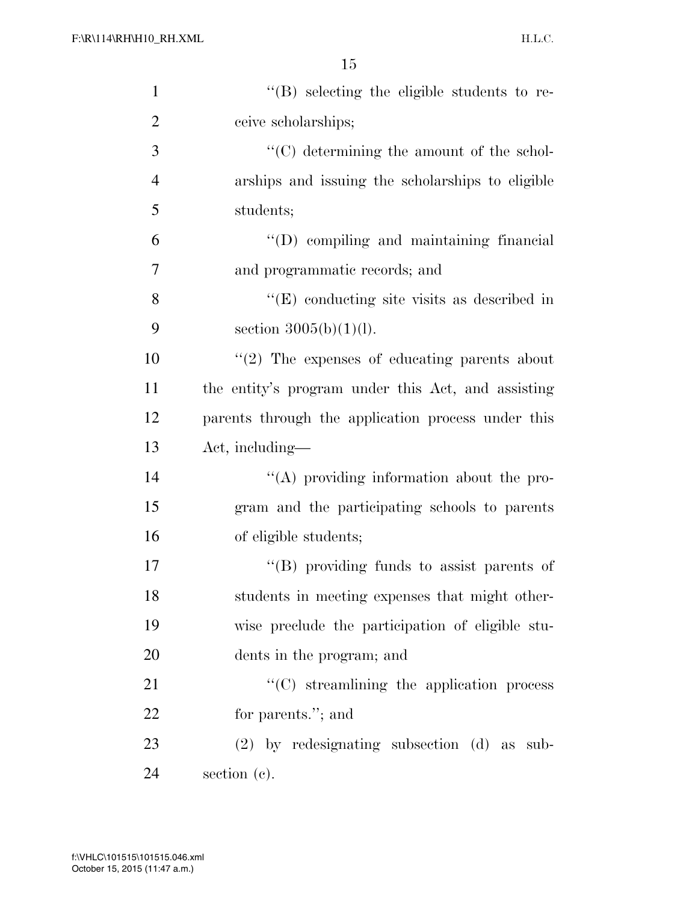| $\mathbf{1}$   | "(B) selecting the eligible students to re-        |
|----------------|----------------------------------------------------|
| $\overline{2}$ | ceive scholarships;                                |
| 3              | "(C) determining the amount of the schol-          |
| $\overline{4}$ | arships and issuing the scholarships to eligible   |
| 5              | students;                                          |
| 6              | $\lq\lq$ compiling and maintaining financial       |
| 7              | and programmatic records; and                      |
| 8              | $\lq\lq(E)$ conducting site visits as described in |
| 9              | section $3005(b)(1)(l)$ .                          |
| 10             | $\lq(2)$ The expenses of educating parents about   |
| 11             | the entity's program under this Act, and assisting |
| 12             | parents through the application process under this |
| 13             | Act, including—                                    |
| 14             | $\lq\lq$ providing information about the pro-      |
| 15             | gram and the participating schools to parents      |
| 16             | of eligible students;                              |
| 17             | $\lq\lq$ (B) providing funds to assist parents of  |
| 18             | students in meeting expenses that might other-     |
| 19             | wise preclude the participation of eligible stu-   |
| 20             | dents in the program; and                          |
| 21             | "(C) streamlining the application process          |
| 22             | for parents."; and                                 |
| 23             | $(2)$ by redesignating subsection $(d)$ as sub-    |
| 24             | section $(c)$ .                                    |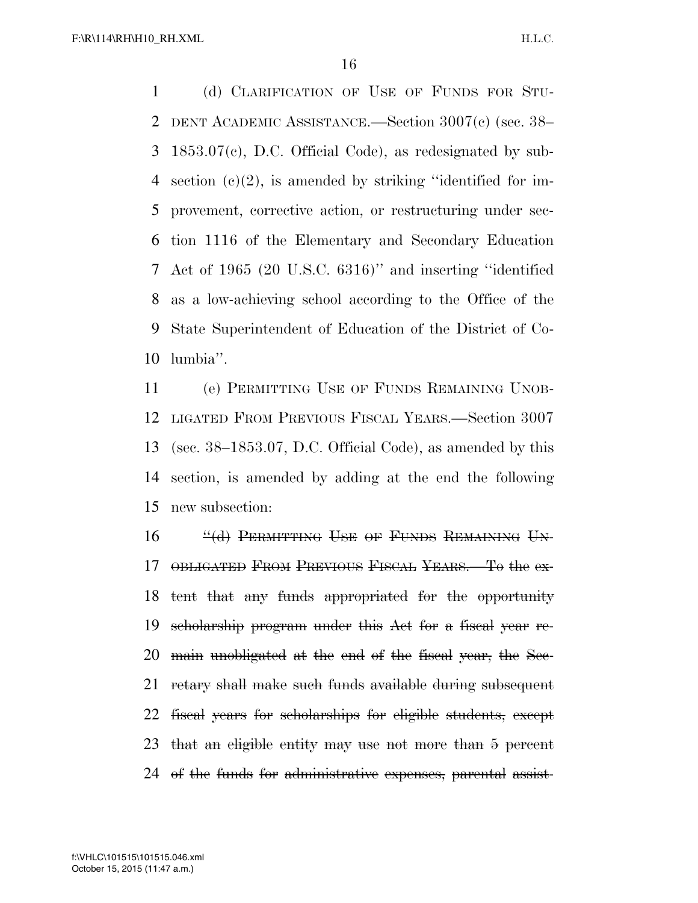F:\R\114\RH\H10\_RH.XML

 (d) CLARIFICATION OF USE OF FUNDS FOR STU- DENT ACADEMIC ASSISTANCE.—Section 3007(c) (sec. 38– 1853.07(c), D.C. Official Code), as redesignated by sub- section (c)(2), is amended by striking ''identified for im- provement, corrective action, or restructuring under sec- tion 1116 of the Elementary and Secondary Education Act of 1965 (20 U.S.C. 6316)'' and inserting ''identified as a low-achieving school according to the Office of the State Superintendent of Education of the District of Co-lumbia''.

 (e) PERMITTING USE OF FUNDS REMAINING UNOB- LIGATED FROM PREVIOUS FISCAL YEARS.—Section 3007 (sec. 38–1853.07, D.C. Official Code), as amended by this section, is amended by adding at the end the following new subsection:

16 "(d) PERMITTING USE OF FUNDS REMAINING UN- OBLIGATED FROM PREVIOUS FISCAL YEARS.—To the ex- tent that any funds appropriated for the opportunity scholarship program under this Act for a fiscal year re- main unobligated at the end of the fiscal year, the Sec- retary shall make such funds available during subsequent fiscal years for scholarships for eligible students, except that an eligible entity may use not more than 5 percent of the funds for administrative expenses, parental assist-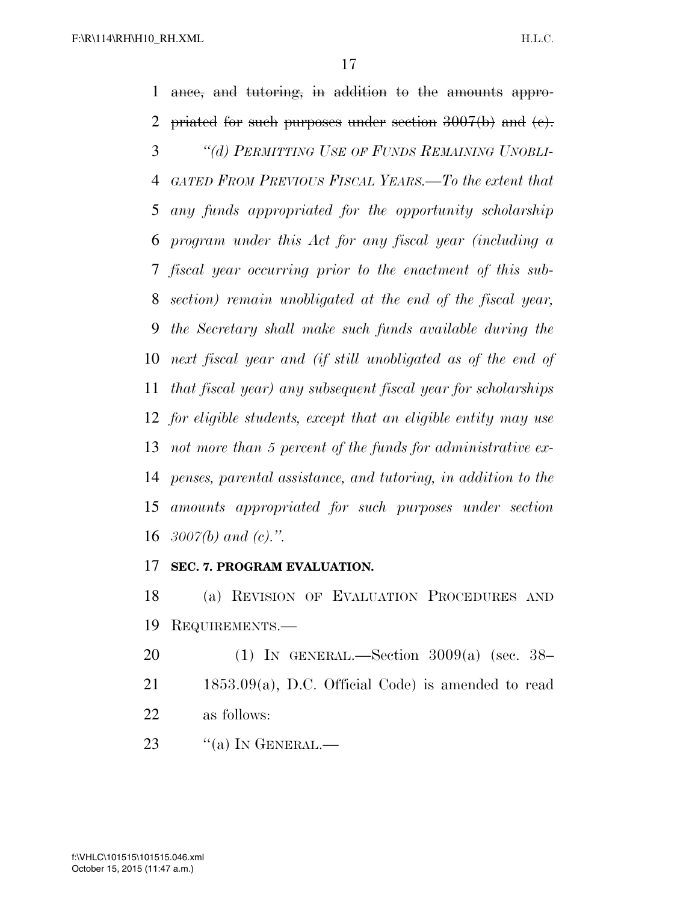ance, and tutoring, in addition to the amounts appro- priated for such purposes under section 3007(b) and (c). *''(d) PERMITTING USE OF FUNDS REMAINING UNOBLI- GATED FROM PREVIOUS FISCAL YEARS.—To the extent that any funds appropriated for the opportunity scholarship program under this Act for any fiscal year (including a fiscal year occurring prior to the enactment of this sub- section) remain unobligated at the end of the fiscal year, the Secretary shall make such funds available during the next fiscal year and (if still unobligated as of the end of that fiscal year) any subsequent fiscal year for scholarships for eligible students, except that an eligible entity may use not more than 5 percent of the funds for administrative ex- penses, parental assistance, and tutoring, in addition to the amounts appropriated for such purposes under section 3007(b) and (c).''.* 

#### **SEC. 7. PROGRAM EVALUATION.**

 (a) REVISION OF EVALUATION PROCEDURES AND REQUIREMENTS.—

 (1) IN GENERAL.—Section 3009(a) (sec. 38– 1853.09(a), D.C. Official Code) is amended to read as follows:

23  $\frac{1}{2}$  (a) In GENERAL.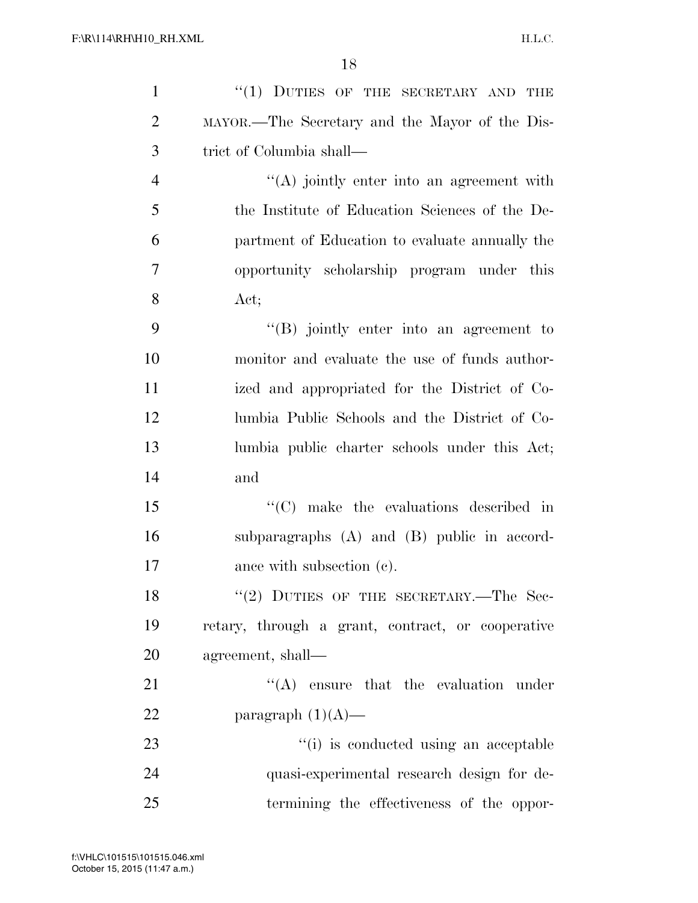| $\mathbf{1}$   | $``(1)$ DUTIES OF THE SECRETARY AND THE           |
|----------------|---------------------------------------------------|
| $\overline{2}$ | MAYOR.—The Secretary and the Mayor of the Dis-    |
| 3              | trict of Columbia shall—                          |
| $\overline{4}$ | "(A) jointly enter into an agreement with         |
| 5              | the Institute of Education Sciences of the De-    |
| 6              | partment of Education to evaluate annually the    |
| 7              | opportunity scholarship program under this        |
| 8              | Act;                                              |
| 9              | "(B) jointly enter into an agreement to           |
| 10             | monitor and evaluate the use of funds author-     |
| 11             | ized and appropriated for the District of Co-     |
| 12             | lumbia Public Schools and the District of Co-     |
| 13             | lumbia public charter schools under this Act;     |
| 14             | and                                               |
| 15             | $\lq\lq$ (C) make the evaluations described in    |
| 16             | subparagraphs $(A)$ and $(B)$ public in accord-   |
| 17             | ance with subsection (c).                         |
| 18             | "(2) DUTIES OF THE SECRETARY.—The Sec-            |
| 19             | retary, through a grant, contract, or cooperative |
| 20             | agreement, shall—                                 |
| 21             | $\lq\lq$ ensure that the evaluation under         |
| 22             | paragraph $(1)(A)$ —                              |
| 23             | "(i) is conducted using an acceptable             |
| 24             | quasi-experimental research design for de-        |
| 25             | termining the effectiveness of the oppor-         |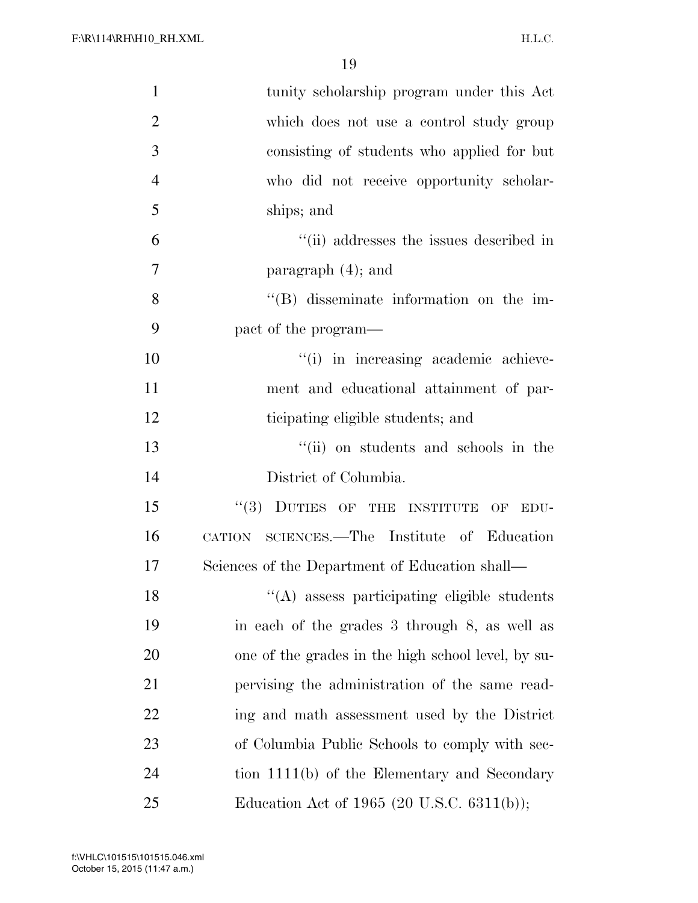| $\mathbf{1}$   | tunity scholarship program under this Act          |
|----------------|----------------------------------------------------|
| $\overline{2}$ | which does not use a control study group           |
| $\mathfrak{Z}$ | consisting of students who applied for but         |
| $\overline{4}$ | who did not receive opportunity scholar-           |
| 5              | ships; and                                         |
| 6              | "(ii) addresses the issues described in            |
| $\tau$         | paragraph $(4)$ ; and                              |
| 8              | $\lq\lq$ disseminate information on the im-        |
| 9              | pact of the program—                               |
| 10             | "(i) in increasing academic achieve-               |
| 11             | ment and educational attainment of par-            |
| 12             | ticipating eligible students; and                  |
| 13             | "(ii) on students and schools in the               |
| 14             | District of Columbia.                              |
| 15             | "(3) DUTIES OF THE INSTITUTE OF<br>EDU-            |
| 16             | CATION SCIENCES.—The Institute of Education        |
| 17             | Sciences of the Department of Education shall—     |
| 18             | "(A) assess participating eligible students        |
| 19             | in each of the grades 3 through 8, as well as      |
| 20             | one of the grades in the high school level, by su- |
| 21             | pervising the administration of the same read-     |
| 22             | ing and math assessment used by the District       |
| 23             | of Columbia Public Schools to comply with sec-     |
| 24             | tion 1111(b) of the Elementary and Secondary       |
| 25             | Education Act of 1965 (20 U.S.C. 6311(b));         |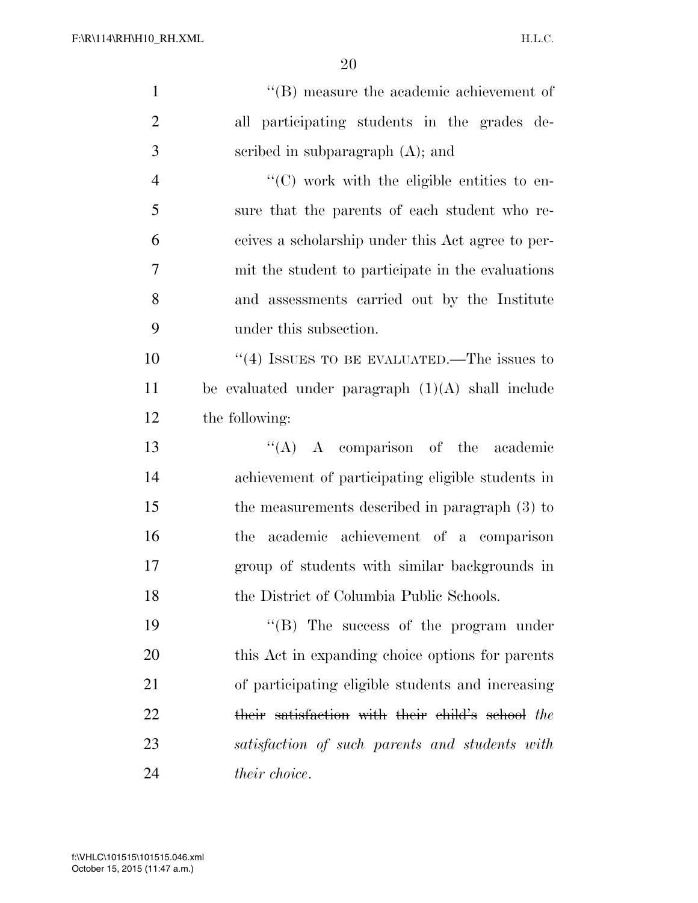| $\mathbf{1}$   | $\lq\lq$ measure the academic achievement of            |
|----------------|---------------------------------------------------------|
| $\overline{2}$ | all participating students in the grades de-            |
| 3              | scribed in subparagraph $(A)$ ; and                     |
| $\overline{4}$ | $\cdot\cdot$ (C) work with the eligible entities to en- |
| 5              | sure that the parents of each student who re-           |
| 6              | ceives a scholarship under this Act agree to per-       |
| 7              | mit the student to participate in the evaluations       |
| 8              | and assessments carried out by the Institute            |
| 9              | under this subsection.                                  |
| 10             | "(4) ISSUES TO BE EVALUATED.—The issues to              |
| 11             | be evaluated under paragraph $(1)(A)$ shall include     |
| 12             | the following:                                          |
| 13             | $\lq\lq$ A comparison of the academic                   |
| 14             | achievement of participating eligible students in       |
| 15             | the measurements described in paragraph (3) to          |
| 16             | academic achievement of a comparison<br>the             |
| 17             | group of students with similar backgrounds in           |
| 18             | the District of Columbia Public Schools.                |
| 19             | $\lq\lq$ (B) The success of the program under           |
| 20             | this Act in expanding choice options for parents        |
| 21             | of participating eligible students and increasing       |
| 22             | their satisfaction with their child's school the        |
| 23             | satisfaction of such parents and students with          |
| 24             | <i>their choice.</i>                                    |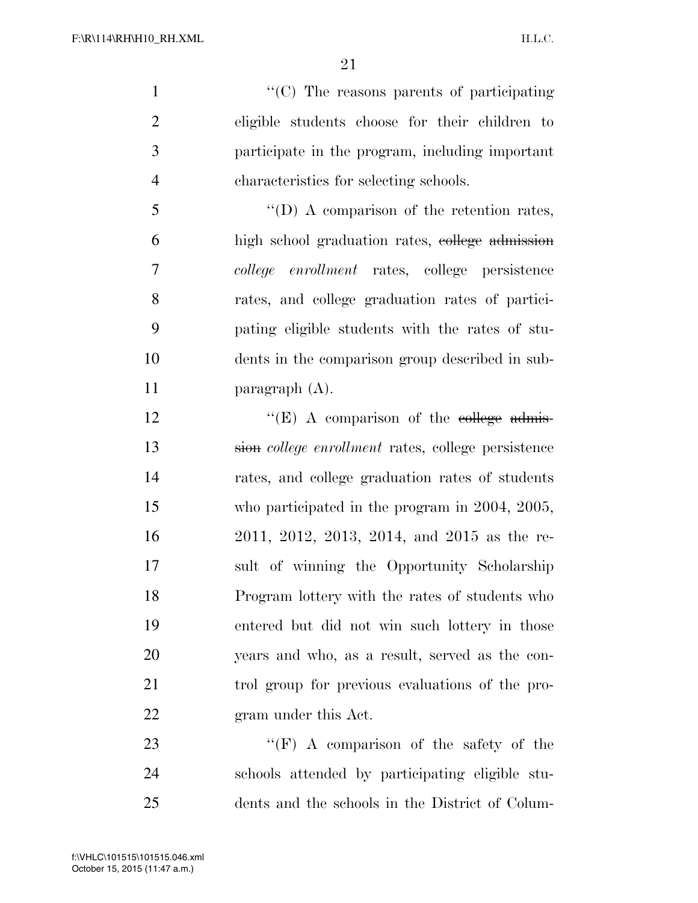$\lq(0)$  The reasons parents of participating eligible students choose for their children to participate in the program, including important characteristics for selecting schools.

5 "'(D) A comparison of the retention rates, high school graduation rates, college admission *college enrollment* rates, college persistence rates, and college graduation rates of partici- pating eligible students with the rates of stu- dents in the comparison group described in sub-paragraph (A).

 $"({\rm E})$  A comparison of the college admis- sion *college enrollment* rates, college persistence rates, and college graduation rates of students who participated in the program in 2004, 2005, 2011, 2012, 2013, 2014, and 2015 as the re- sult of winning the Opportunity Scholarship Program lottery with the rates of students who entered but did not win such lottery in those years and who, as a result, served as the con- trol group for previous evaluations of the pro-gram under this Act.

23 "'(F) A comparison of the safety of the schools attended by participating eligible stu-dents and the schools in the District of Colum-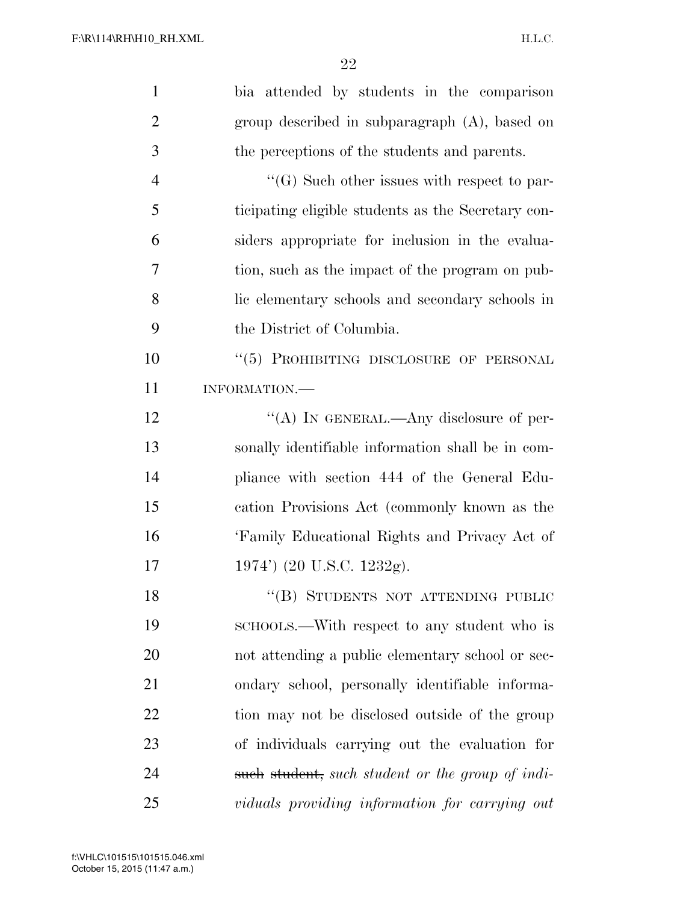| $\mathbf{1}$   | bia attended by students in the comparison         |
|----------------|----------------------------------------------------|
| $\overline{2}$ | group described in subparagraph (A), based on      |
| 3              | the perceptions of the students and parents.       |
| $\overline{4}$ | $\lq\lq(G)$ Such other issues with respect to par- |
| 5              | ticipating eligible students as the Secretary con- |
| 6              | siders appropriate for inclusion in the evalua-    |
| $\overline{7}$ | tion, such as the impact of the program on pub-    |
| 8              | lic elementary schools and secondary schools in    |
| 9              | the District of Columbia.                          |
| 10             | "(5) PROHIBITING DISCLOSURE OF PERSONAL            |
| 11             | INFORMATION.                                       |
| 12             | "(A) IN GENERAL.—Any disclosure of per-            |
| 13             | sonally identifiable information shall be in com-  |
| 14             | pliance with section 444 of the General Edu-       |
| 15             | cation Provisions Act (commonly known as the       |
| 16             | 'Family Educational Rights and Privacy Act of      |
| 17             | 1974') (20 U.S.C. 1232g).                          |
| 18             | "(B) STUDENTS NOT ATTENDING PUBLIC                 |
| 19             | SCHOOLS.—With respect to any student who is        |
| 20             | not attending a public elementary school or sec-   |
| 21             | ondary school, personally identifiable informa-    |
| 22             | tion may not be disclosed outside of the group     |
| 23             | of individuals carrying out the evaluation for     |
| 24             | such student, such student or the group of indi-   |
| 25             | viduals providing information for carrying out     |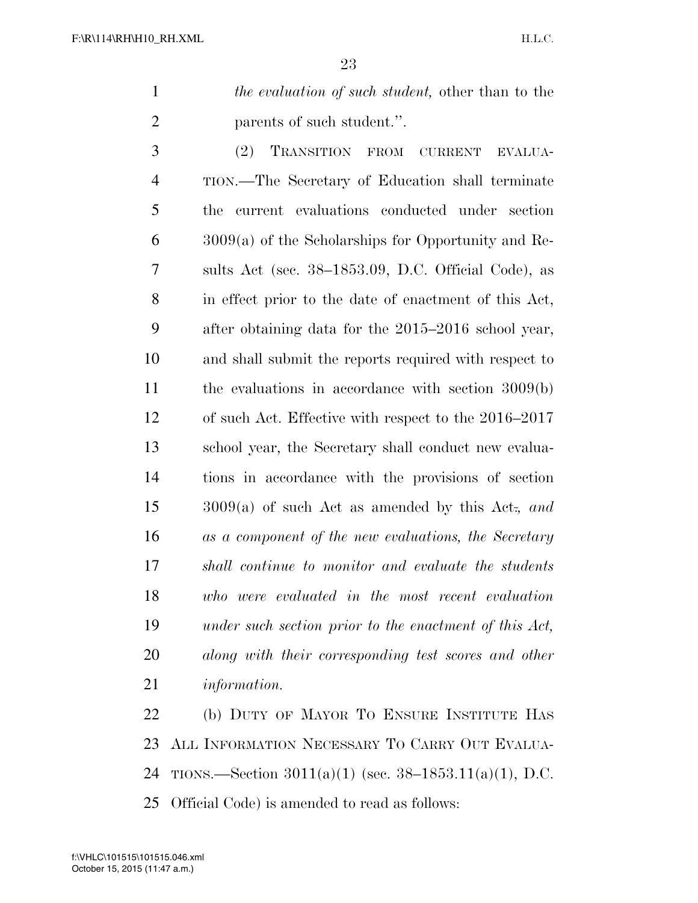*the evaluation of such student,* other than to the 2 parents of such student.".

 (2) TRANSITION FROM CURRENT EVALUA- TION.—The Secretary of Education shall terminate the current evaluations conducted under section 3009(a) of the Scholarships for Opportunity and Re- sults Act (sec. 38–1853.09, D.C. Official Code), as in effect prior to the date of enactment of this Act, after obtaining data for the 2015–2016 school year, and shall submit the reports required with respect to the evaluations in accordance with section 3009(b) of such Act. Effective with respect to the 2016–2017 school year, the Secretary shall conduct new evalua- tions in accordance with the provisions of section 3009(a) of such Act as amended by this Act.*, and as a component of the new evaluations, the Secretary shall continue to monitor and evaluate the students who were evaluated in the most recent evaluation under such section prior to the enactment of this Act, along with their corresponding test scores and other information.* 

 (b) DUTY OF MAYOR TO ENSURE INSTITUTE HAS ALL INFORMATION NECESSARY TO CARRY OUT EVALUA- TIONS.—Section 3011(a)(1) (sec. 38–1853.11(a)(1), D.C. Official Code) is amended to read as follows: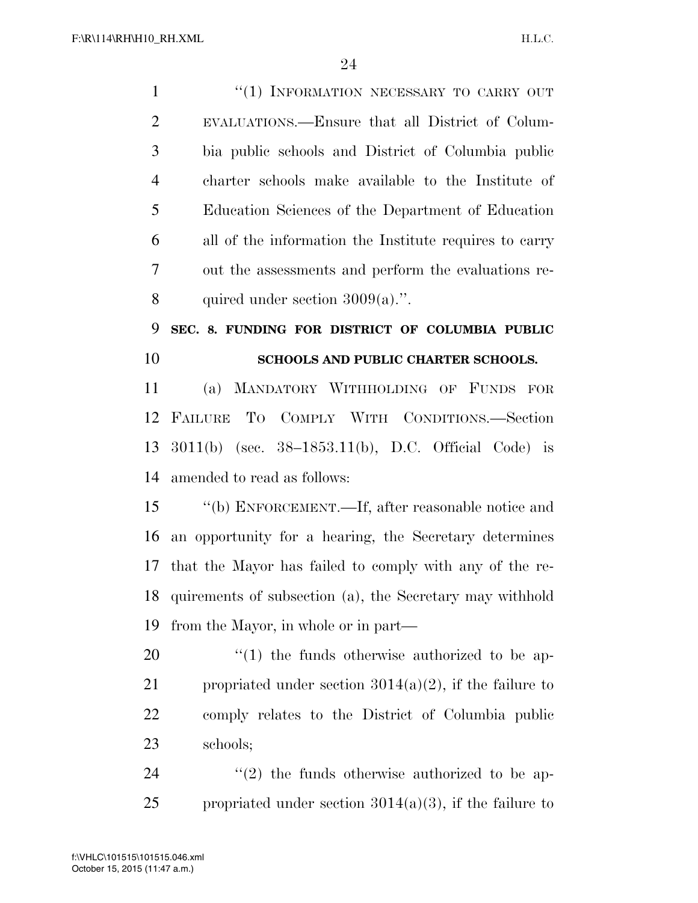| $\mathbf{1}$   | "(1) INFORMATION NECESSARY TO CARRY OUT                   |
|----------------|-----------------------------------------------------------|
| $\overline{2}$ | EVALUATIONS.—Ensure that all District of Colum-           |
| 3              | bia public schools and District of Columbia public        |
| $\overline{4}$ | charter schools make available to the Institute of        |
| 5              | Education Sciences of the Department of Education         |
| 6              | all of the information the Institute requires to carry    |
| 7              | out the assessments and perform the evaluations re-       |
| 8              | quired under section $3009(a)$ .".                        |
| 9              | SEC. 8. FUNDING FOR DISTRICT OF COLUMBIA PUBLIC           |
| 10             | SCHOOLS AND PUBLIC CHARTER SCHOOLS.                       |
| 11             | (a) MANDATORY WITHHOLDING OF FUNDS FOR                    |
| 12             | FAILURE TO COMPLY WITH CONDITIONS.-Section                |
| 13             | $3011(b)$ (sec. $38-1853.11(b)$ , D.C. Official Code) is  |
| 14             | amended to read as follows:                               |
| 15             | "(b) ENFORCEMENT.—If, after reasonable notice and         |
| 16             | an opportunity for a hearing, the Secretary determines    |
| 17             | that the Mayor has failed to comply with any of the re-   |
| 18             | quirements of subsection (a), the Secretary may withhold  |
| 19             | from the Mayor, in whole or in part—                      |
| 20             | $\lq(1)$ the funds otherwise authorized to be ap-         |
| 21             | propriated under section $3014(a)(2)$ , if the failure to |
| 22             | comply relates to the District of Columbia public         |
| 23             | schools;                                                  |
| 24             | $\lq(2)$ the funds otherwise authorized to be ap-         |
| 25             | propriated under section $3014(a)(3)$ , if the failure to |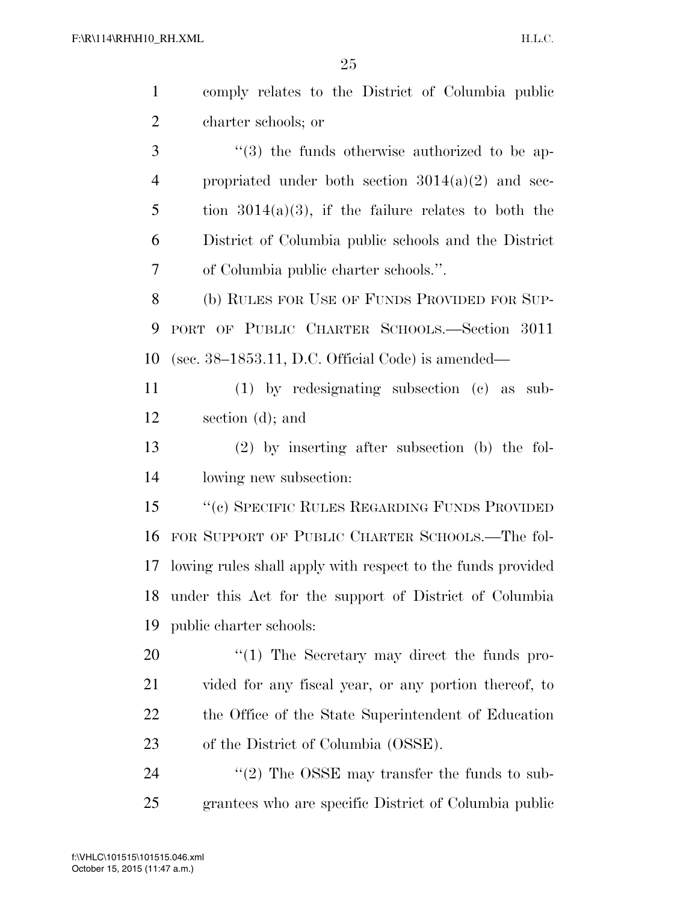| $\mathbf{1}$   | comply relates to the District of Columbia public             |
|----------------|---------------------------------------------------------------|
| $\overline{2}$ | charter schools; or                                           |
| 3              | $\cdot\cdot\cdot(3)$ the funds otherwise authorized to be ap- |
| $\overline{4}$ | propriated under both section $3014(a)(2)$ and sec-           |
| 5              | tion $3014(a)(3)$ , if the failure relates to both the        |
| 6              | District of Columbia public schools and the District          |
| 7              | of Columbia public charter schools.".                         |
| 8              | (b) RULES FOR USE OF FUNDS PROVIDED FOR SUP-                  |
| 9              | PORT OF PUBLIC CHARTER SCHOOLS.—Section 3011                  |
| 10             | (sec. $38-1853.11$ , D.C. Official Code) is amended—          |
| 11             | $(1)$ by redesignating subsection $(e)$ as sub-               |
| 12             | section (d); and                                              |
| 13             | $(2)$ by inserting after subsection (b) the fol-              |
| 14             | lowing new subsection:                                        |
| 15             | "(c) SPECIFIC RULES REGARDING FUNDS PROVIDED                  |
| 16             | FOR SUPPORT OF PUBLIC CHARTER SCHOOLS.—The fol-               |
| 17             | lowing rules shall apply with respect to the funds provided   |
|                | 18 under this Act for the support of District of Columbia     |
| 19             | public charter schools:                                       |
| 20             | $\lq(1)$ The Secretary may direct the funds pro-              |
| 21             | vided for any fiscal year, or any portion thereof, to         |
| 22             | the Office of the State Superintendent of Education           |
| 23             | of the District of Columbia (OSSE).                           |
| 24             | $\cdot\cdot$ (2) The OSSE may transfer the funds to sub-      |
| 25             | grantees who are specific District of Columbia public         |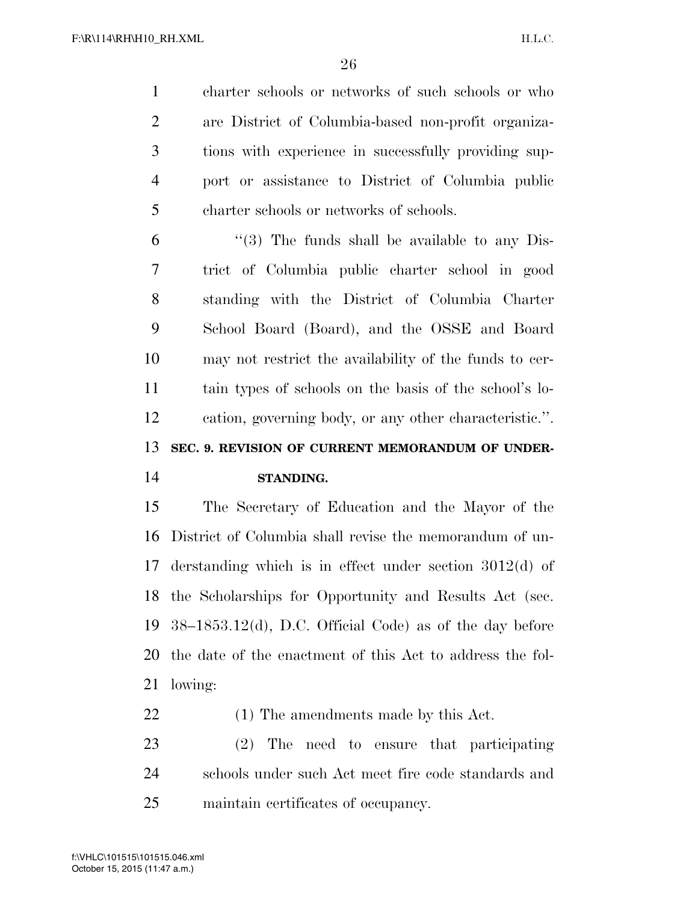charter schools or networks of such schools or who are District of Columbia-based non-profit organiza- tions with experience in successfully providing sup- port or assistance to District of Columbia public charter schools or networks of schools.

 "(3) The funds shall be available to any Dis- trict of Columbia public charter school in good standing with the District of Columbia Charter School Board (Board), and the OSSE and Board may not restrict the availability of the funds to cer- tain types of schools on the basis of the school's lo- cation, governing body, or any other characteristic.''. **SEC. 9. REVISION OF CURRENT MEMORANDUM OF UNDER-**

#### **STANDING.**

 The Secretary of Education and the Mayor of the District of Columbia shall revise the memorandum of un- derstanding which is in effect under section 3012(d) of the Scholarships for Opportunity and Results Act (sec. 38–1853.12(d), D.C. Official Code) as of the day before the date of the enactment of this Act to address the fol-lowing:

(1) The amendments made by this Act.

 (2) The need to ensure that participating schools under such Act meet fire code standards and maintain certificates of occupancy.